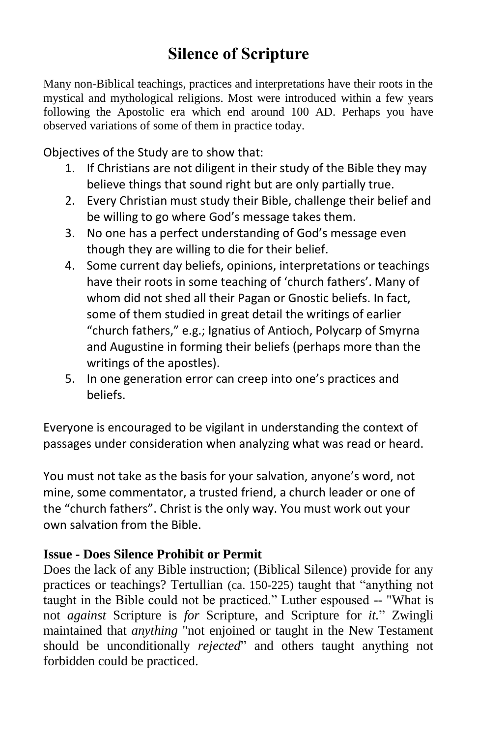## **Silence of Scripture**

Many non-Biblical teachings, practices and interpretations have their roots in the mystical and mythological religions. Most were introduced within a few years following the Apostolic era which end around 100 AD. Perhaps you have observed variations of some of them in practice today.

Objectives of the Study are to show that:

- 1. If Christians are not diligent in their study of the Bible they may believe things that sound right but are only partially true.
- 2. Every Christian must study their Bible, challenge their belief and be willing to go where God's message takes them.
- 3. No one has a perfect understanding of God's message even though they are willing to die for their belief.
- 4. Some current day beliefs, opinions, interpretations or teachings have their roots in some teaching of 'church fathers'. Many of whom did not shed all their Pagan or Gnostic beliefs. In fact, some of them studied in great detail the writings of earlier "church fathers," e.g.; Ignatius of Antioch, Polycarp of Smyrna and Augustine in forming their beliefs (perhaps more than the writings of the apostles).
- 5. In one generation error can creep into one's practices and beliefs.

Everyone is encouraged to be vigilant in understanding the context of passages under consideration when analyzing what was read or heard.

You must not take as the basis for your salvation, anyone's word, not mine, some commentator, a trusted friend, a church leader or one of the "church fathers". Christ is the only way. You must work out your own salvation from the Bible.

## **Issue - Does Silence Prohibit or Permit**

Does the lack of any Bible instruction; (Biblical Silence) provide for any practices or teachings? Tertullian (ca. 150-225) taught that "anything not taught in the Bible could not be practiced." Luther espoused -- "What is not *against* Scripture is *for* Scripture, and Scripture for *it.*" Zwingli maintained that *anything* "not enjoined or taught in the New Testament should be unconditionally *rejected*" and others taught anything not forbidden could be practiced.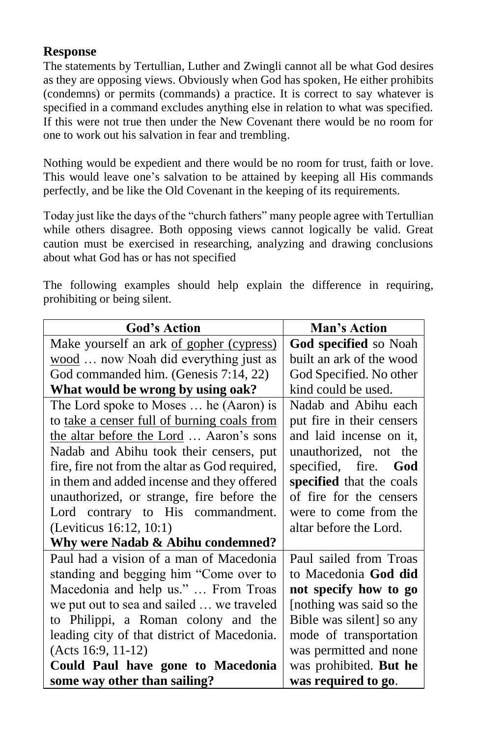## **Response**

The statements by Tertullian, Luther and Zwingli cannot all be what God desires as they are opposing views. Obviously when God has spoken, He either prohibits (condemns) or permits (commands) a practice. It is correct to say whatever is specified in a command excludes anything else in relation to what was specified. If this were not true then under the New Covenant there would be no room for one to work out his salvation in fear and trembling.

Nothing would be expedient and there would be no room for trust, faith or love. This would leave one's salvation to be attained by keeping all His commands perfectly, and be like the Old Covenant in the keeping of its requirements.

Today just like the days of the "church fathers" many people agree with Tertullian while others disagree. Both opposing views cannot logically be valid. Great caution must be exercised in researching, analyzing and drawing conclusions about what God has or has not specified

The following examples should help explain the difference in requiring, prohibiting or being silent.

| <b>God's Action</b>                            | Man's Action              |
|------------------------------------------------|---------------------------|
| Make yourself an ark of gopher (cypress)       | God specified so Noah     |
| wood  now Noah did everything just as          | built an ark of the wood  |
| God commanded him. (Genesis 7:14, 22)          | God Specified. No other   |
| What would be wrong by using oak?              | kind could be used.       |
| The Lord spoke to Moses  he (Aaron) is         | Nadab and Abihu each      |
| to take a censer full of burning coals from    | put fire in their censers |
| the altar before the Lord  Aaron's sons        | and laid incense on it,   |
| Nadab and Abihu took their censers, put        | unauthorized, not the     |
| fire, fire not from the altar as God required, | specified, fire. God      |
| in them and added incense and they offered     | specified that the coals  |
| unauthorized, or strange, fire before the      | of fire for the censers   |
| Lord contrary to His commandment.              | were to come from the     |
| (Leviticus 16:12, 10:1)                        | altar before the Lord.    |
| Why were Nadab & Abihu condemned?              |                           |
| Paul had a vision of a man of Macedonia        | Paul sailed from Troas    |
| standing and begging him "Come over to         | to Macedonia God did      |
| Macedonia and help us."  From Troas            | not specify how to go     |
| we put out to sea and sailed  we traveled      | [nothing was said so the  |
| to Philippi, a Roman colony and the            | Bible was silent] so any  |
| leading city of that district of Macedonia.    | mode of transportation    |
| $(Acts 16:9, 11-12)$                           | was permitted and none    |
| Could Paul have gone to Macedonia              | was prohibited. But he    |
| some way other than sailing?                   | was required to go.       |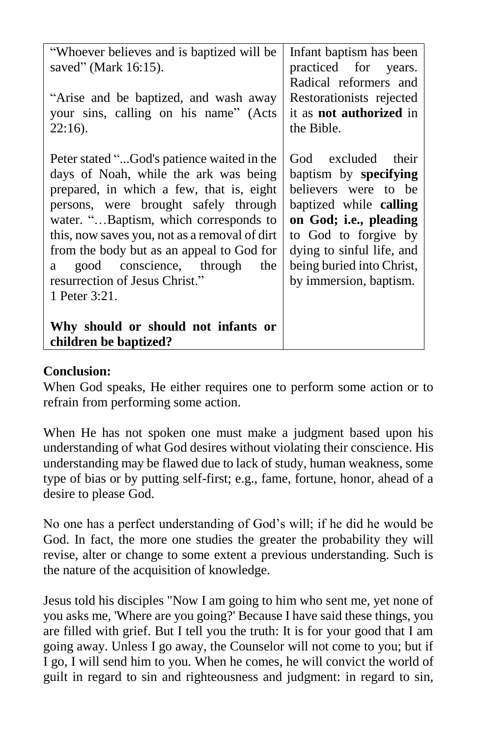| "Whoever believes and is baptized will be     | Infant baptism has been        |
|-----------------------------------------------|--------------------------------|
| saved" (Mark 16:15).                          | practiced for years.           |
|                                               | Radical reformers and          |
| "Arise and be baptized, and wash away         | Restorationists rejected       |
| your sins, calling on his name" (Acts         | it as <b>not authorized</b> in |
| $22:16$ ).                                    | the Bible.                     |
|                                               |                                |
| Peter stated "God's patience waited in the    | God excluded their             |
| days of Noah, while the ark was being         |                                |
|                                               | baptism by <b>specifying</b>   |
| prepared, in which a few, that is, eight      | believers were to be           |
| persons, were brought safely through          | baptized while calling         |
| water. "Baptism, which corresponds to         | on God; i.e., pleading         |
| this, now saves you, not as a removal of dirt | to God to forgive by           |
| from the body but as an appeal to God for     | dying to sinful life, and      |
| a good conscience, through<br>the             | being buried into Christ,      |
| resurrection of Jesus Christ."                | by immersion, baptism.         |
| 1 Peter 3:21.                                 |                                |
|                                               |                                |
| Why should or should not infants or           |                                |
| children be baptized?                         |                                |
|                                               |                                |

## **Conclusion:**

When God speaks, He either requires one to perform some action or to refrain from performing some action.

When He has not spoken one must make a judgment based upon his understanding of what God desires without violating their conscience. His understanding may be flawed due to lack of study, human weakness, some type of bias or by putting self-first; e.g., fame, fortune, honor, ahead of a desire to please God.

No one has a perfect understanding of God's will; if he did he would be God. In fact, the more one studies the greater the probability they will revise, alter or change to some extent a previous understanding. Such is the nature of the acquisition of knowledge.

Jesus told his disciples "Now I am going to him who sent me, yet none of you asks me, 'Where are you going?' Because I have said these things, you are filled with grief. But I tell you the truth: It is for your good that I am going away. Unless I go away, the Counselor will not come to you; but if I go, I will send him to you. When he comes, he will convict the world of guilt in regard to sin and righteousness and judgment: in regard to sin,